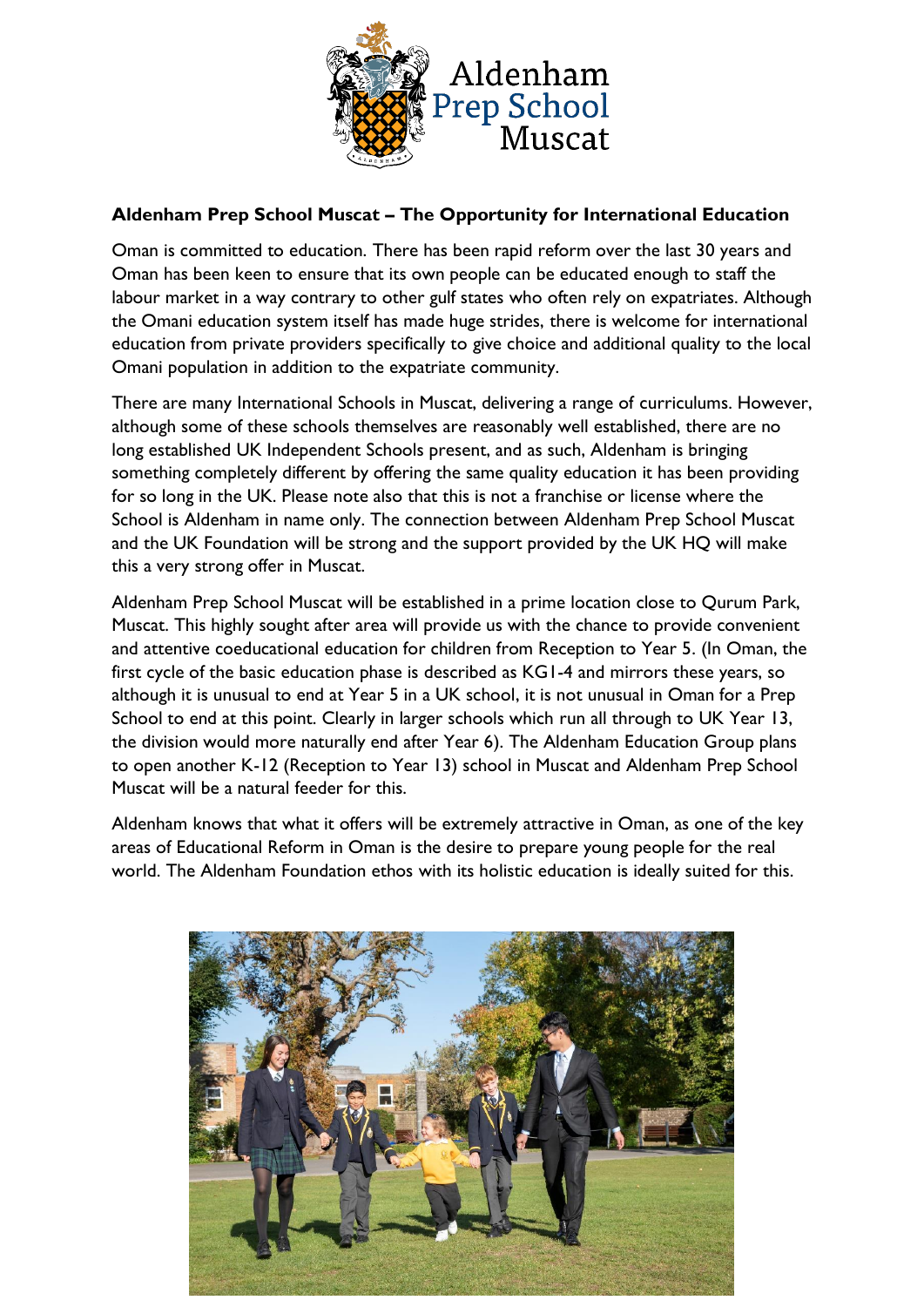

## **Aldenham Prep School Muscat – The Opportunity for International Education**

Oman is committed to education. There has been rapid reform over the last 30 years and Oman has been keen to ensure that its own people can be educated enough to staff the labour market in a way contrary to other gulf states who often rely on expatriates. Although the Omani education system itself has made huge strides, there is welcome for international education from private providers specifically to give choice and additional quality to the local Omani population in addition to the expatriate community.

There are many International Schools in Muscat, delivering a range of curriculums. However, although some of these schools themselves are reasonably well established, there are no long established UK Independent Schools present, and as such, Aldenham is bringing something completely different by offering the same quality education it has been providing for so long in the UK. Please note also that this is not a franchise or license where the School is Aldenham in name only. The connection between Aldenham Prep School Muscat and the UK Foundation will be strong and the support provided by the UK HQ will make this a very strong offer in Muscat.

Aldenham Prep School Muscat will be established in a prime location close to Qurum Park, Muscat. This highly sought after area will provide us with the chance to provide convenient and attentive coeducational education for children from Reception to Year 5. (In Oman, the first cycle of the basic education phase is described as KG1-4 and mirrors these years, so although it is unusual to end at Year 5 in a UK school, it is not unusual in Oman for a Prep School to end at this point. Clearly in larger schools which run all through to UK Year 13, the division would more naturally end after Year 6). The Aldenham Education Group plans to open another K-12 (Reception to Year 13) school in Muscat and Aldenham Prep School Muscat will be a natural feeder for this.

Aldenham knows that what it offers will be extremely attractive in Oman, as one of the key areas of Educational Reform in Oman is the desire to prepare young people for the real world. The Aldenham Foundation ethos with its holistic education is ideally suited for this.

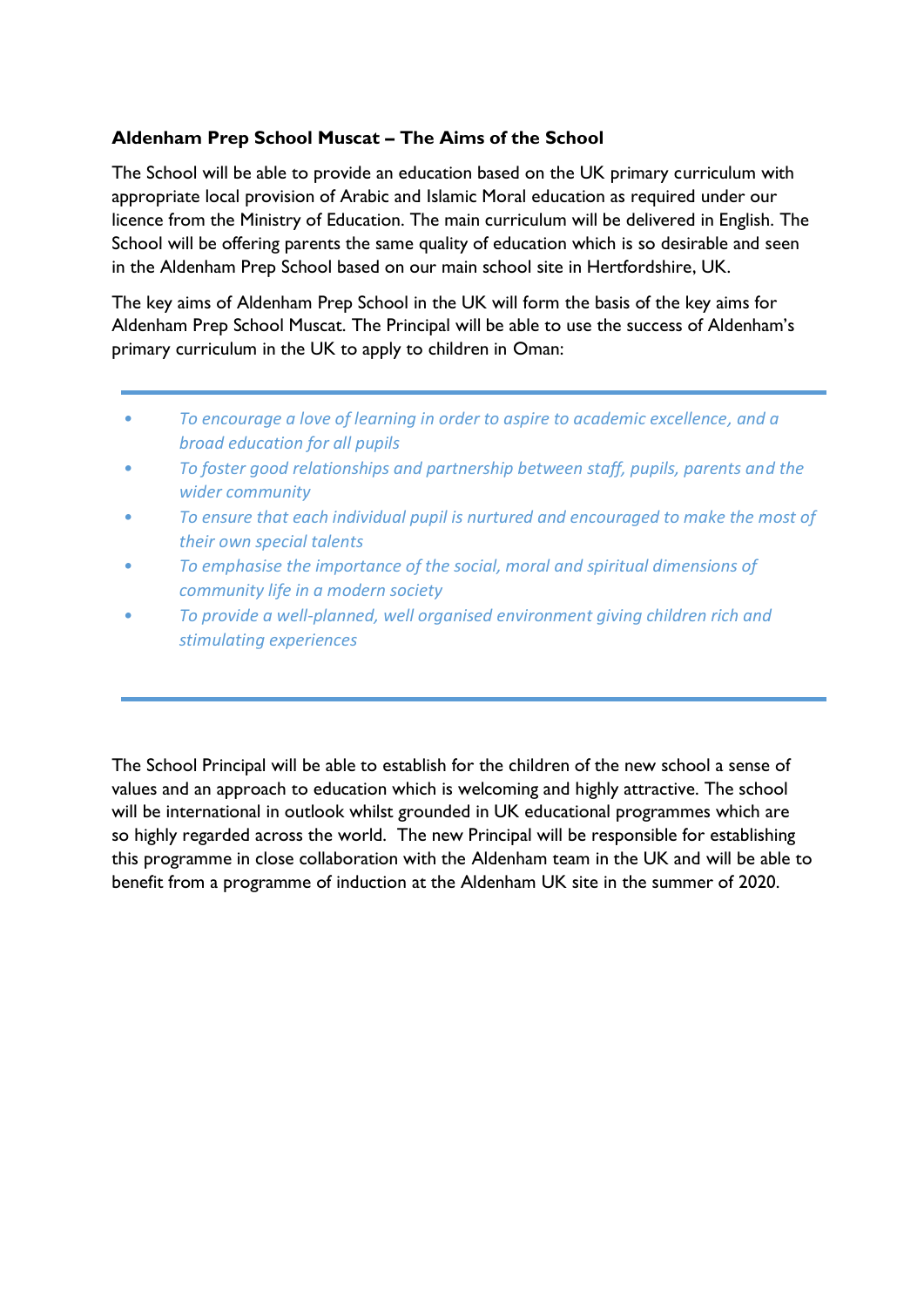## **Aldenham Prep School Muscat – The Aims of the School**

The School will be able to provide an education based on the UK primary curriculum with appropriate local provision of Arabic and Islamic Moral education as required under our licence from the Ministry of Education. The main curriculum will be delivered in English. The School will be offering parents the same quality of education which is so desirable and seen in the Aldenham Prep School based on our main school site in Hertfordshire, UK.

The key aims of Aldenham Prep School in the UK will form the basis of the key aims for Aldenham Prep School Muscat. The Principal will be able to use the success of Aldenham's primary curriculum in the UK to apply to children in Oman:

- *• To encourage a love of learning in order to aspire to academic excellence, and a broad education for all pupils*
- *• To foster good relationships and partnership between staff, pupils, parents and the wider community*
- *• To ensure that each individual pupil is nurtured and encouraged to make the most of their own special talents*
- *• To emphasise the importance of the social, moral and spiritual dimensions of community life in a modern society*
- *• To provide a well-planned, well organised environment giving children rich and stimulating experiences*

The School Principal will be able to establish for the children of the new school a sense of values and an approach to education which is welcoming and highly attractive. The school will be international in outlook whilst grounded in UK educational programmes which are so highly regarded across the world. The new Principal will be responsible for establishing this programme in close collaboration with the Aldenham team in the UK and will be able to benefit from a programme of induction at the Aldenham UK site in the summer of 2020.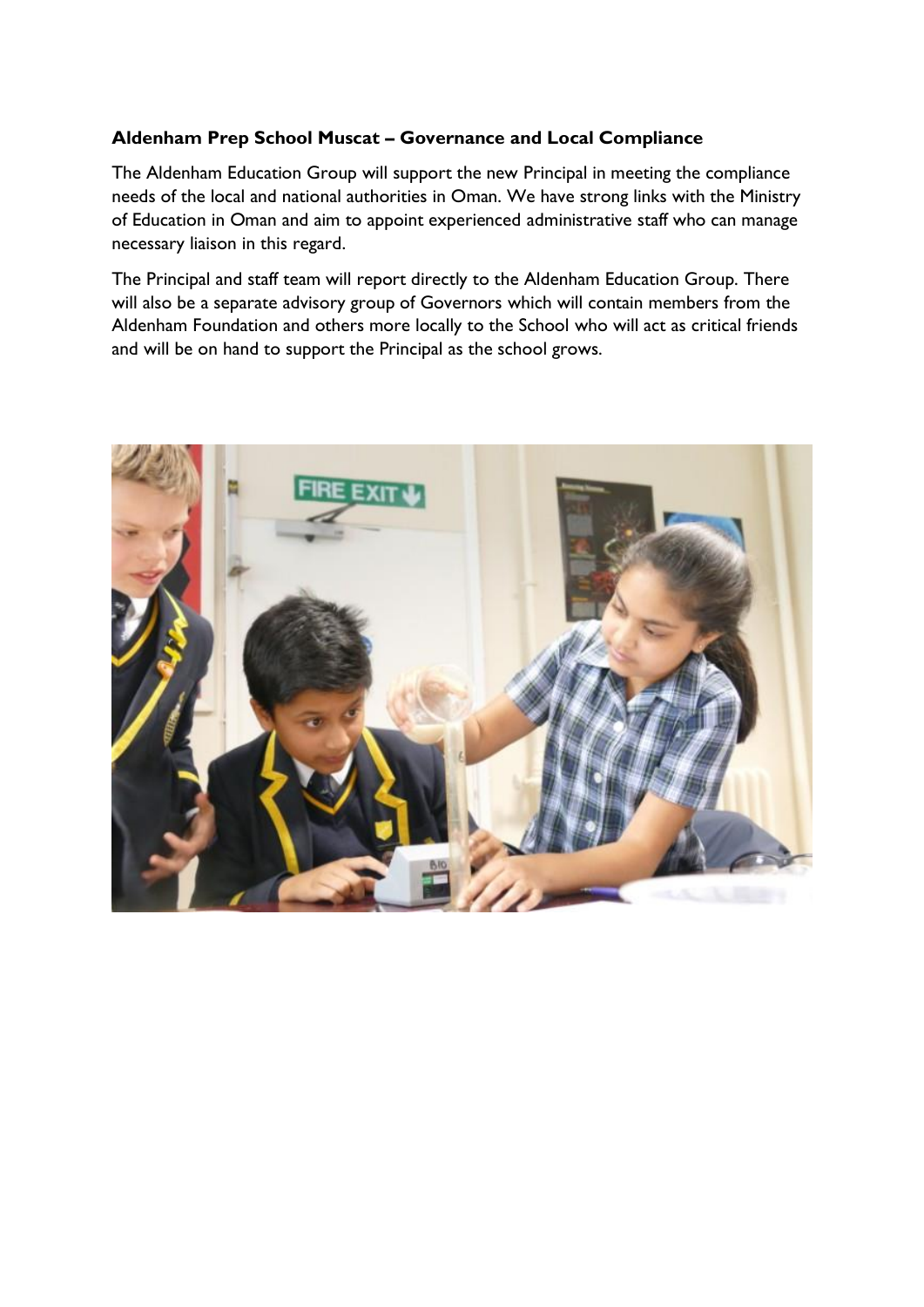## **Aldenham Prep School Muscat – Governance and Local Compliance**

The Aldenham Education Group will support the new Principal in meeting the compliance needs of the local and national authorities in Oman. We have strong links with the Ministry of Education in Oman and aim to appoint experienced administrative staff who can manage necessary liaison in this regard.

The Principal and staff team will report directly to the Aldenham Education Group. There will also be a separate advisory group of Governors which will contain members from the Aldenham Foundation and others more locally to the School who will act as critical friends and will be on hand to support the Principal as the school grows.